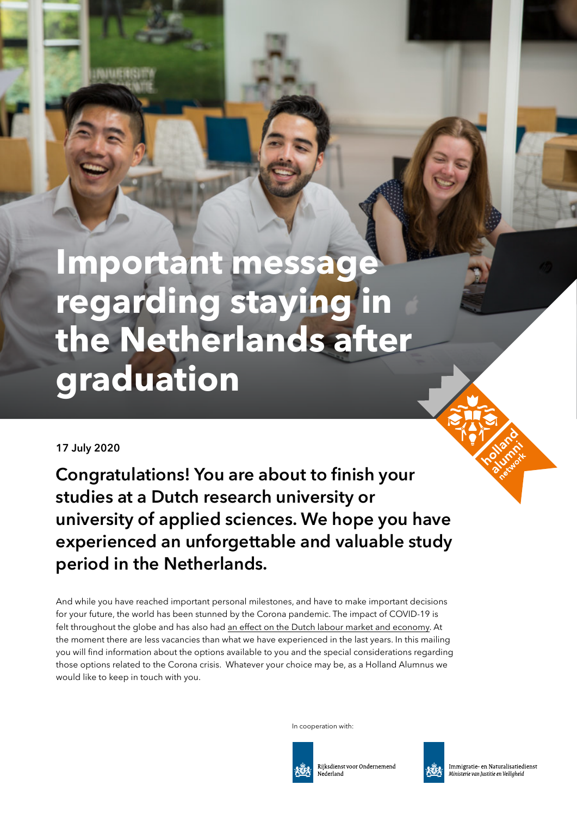# **Important message regarding staying in the Netherlands after graduation**

#### **17 July 2020**

**Congratulations! You are about to finish your studies at a Dutch research university or university of applied sciences. We hope you have experienced an unforgettable and valuable study period in the Netherlands.**

And while you have reached important personal milestones, and have to make important decisions for your future, the world has been stunned by the Corona pandemic. The impact of COVID-19 is felt throughout the globe and has also had [an effect on the Dutch labour market and economy](https://www.cbs.nl/en-gb/dossier/coronavirus-crisis-cbs-figures/economic-impact-of-covid-19). At the moment there are less vacancies than what we have experienced in the last years. In this mailing you will find information about the options available to you and the special considerations regarding those options related to the Corona crisis. Whatever your choice may be, as a Holland Alumnus we would like to keep in touch with you.

In cooperation with:



Rijksdienst voor Ondernemend Nederland



Immigratie- en Naturalisatiedienst Ministerie van Justitie en Veiligheid